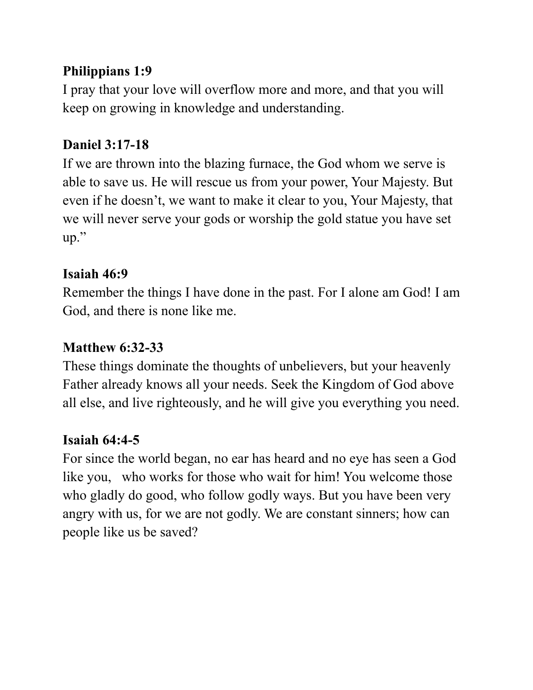### **Philippians 1:9**

I pray that your love will overflow more and more, and that you will keep on growing in knowledge and understanding.

### **Daniel 3:17-18**

If we are thrown into the blazing furnace, the God whom we serve is able to save us. He will rescue us from your power, Your Majesty. But even if he doesn't, we want to make it clear to you, Your Majesty, that we will never serve your gods or worship the gold statue you have set up."

### **Isaiah 46:9**

Remember the things I have done in the past. For I alone am God! I am God, and there is none like me.

### **Matthew 6:32-33**

These things dominate the thoughts of unbelievers, but your heavenly Father already knows all your needs. Seek the Kingdom of God above all else, and live righteously, and he will give you everything you need.

### **Isaiah 64:4-5**

For since the world began, no ear has heard and no eye has seen a God like you, who works for those who wait for him! You welcome those who gladly do good, who follow godly ways. But you have been very angry with us, for we are not godly. We are constant sinners; how can people like us be saved?